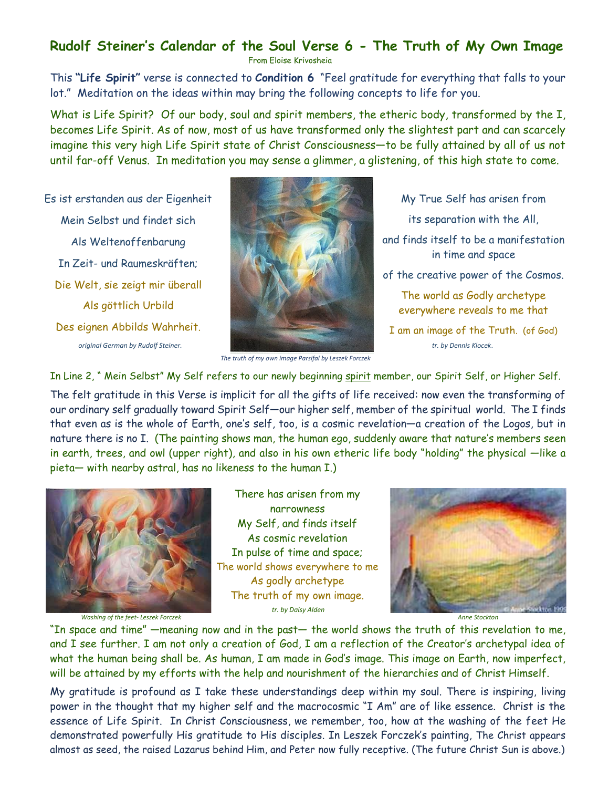## **Rudolf Steiner's Calendar of the Soul Verse 6 - The Truth of My Own Image**

From Eloise Krivosheia

This **"Life Spirit"** verse is connected to **Condition 6** "Feel gratitude for everything that falls to your lot." Meditation on the ideas within may bring the following concepts to life for you.

What is Life Spirit? Of our body, soul and spirit members, the etheric body, transformed by the I, becomes Life Spirit. As of now, most of us have transformed only the slightest part and can scarcely imagine this very high Life Spirit state of Christ Consciousness—to be fully attained by all of us not until far-off Venus. In meditation you may sense a glimmer, a glistening, of this high state to come.

Es ist erstanden aus der Eigenheit Mein Selbst und findet sich Als Weltenoffenbarung In Zeit- und Raumeskräften; Die Welt, sie zeigt mir überall Als göttlich Urbild Des eignen Abbilds Wahrheit. *original German by Rudolf Steiner.*



My True Self has arisen from its separation with the All,

and finds itself to be a manifestation in time and space

of the creative power of the Cosmos.

The world as Godly archetype everywhere reveals to me that

I am an image of the Truth. (of God)  *tr. by Dennis Klocek*.

 *The truth of my own image Parsifal by Leszek Forczek*

In Line 2, " Mein Selbst" My Self refers to our newly beginning spirit member, our Spirit Self, or Higher Self.

The felt gratitude in this Verse is implicit for all the gifts of life received: now even the transforming of our ordinary self gradually toward Spirit Self—our higher self, member of the spiritual world. The I finds that even as is the whole of Earth, one's self, too, is a cosmic revelation—a creation of the Logos, but in nature there is no I. (The painting shows man, the human ego, suddenly aware that nature's members seen in earth, trees, and owl (upper right), and also in his own etheric life body "holding" the physical —like a pieta— with nearby astral, has no likeness to the human I.)



*Washing of the feet- Leszek Forczek*

There has arisen from my narrowness My Self, and finds itself As cosmic revelation In pulse of time and space; The world shows everywhere to me As godly archetype The truth of my own image. *tr. by Daisy Alden*



*Anne Stockton*

"In space and time" —meaning now and in the past— the world shows the truth of this revelation to me, and I see further. I am not only a creation of God, I am a reflection of the Creator's archetypal idea of what the human being shall be. As human, I am made in God's image. This image on Earth, now imperfect, will be attained by my efforts with the help and nourishment of the hierarchies and of Christ Himself.

My gratitude is profound as I take these understandings deep within my soul. There is inspiring, living power in the thought that my higher self and the macrocosmic "I Am" are of like essence. Christ is the essence of Life Spirit. In Christ Consciousness, we remember, too, how at the washing of the feet He demonstrated powerfully His gratitude to His disciples. In Leszek Forczek's painting, The Christ appears almost as seed, the raised Lazarus behind Him, and Peter now fully receptive. (The future Christ Sun is above.)